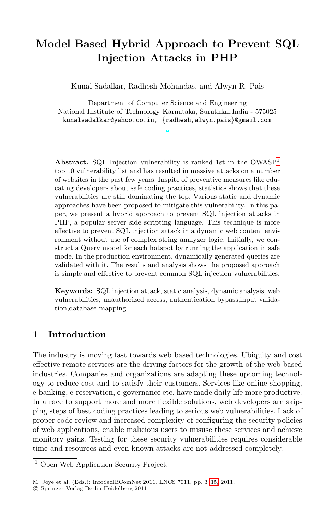## **Model Based Hybrid Approach to Prevent SQL Injection Attacks in PHP**

Kunal Sadalkar, Radhesh Mohandas, and Alwyn R. Pais

Department of Computer Science and Engineering National Institute of Technology Karnataka, Surathkal,India - 575025 kunalsadalkar@yahoo.co.in, {radhesh,alwyn.pais}@gmail.com

**Abstract.** SQL Injection vulnerability is ranked 1st in the OWASP<sup>1</sup> top 10 vulnerability list and has resulted in massive attacks on a number of websites in the past few years. Inspite of preventive measures like educating developers about safe coding practices, statistics shows that these vulnerabilities are still dominating the top. Various static and dynamic approaches have been proposed to mitigate this vulnerability. In this paper, we present a hybrid approach to prevent SQL injection attacks in PHP, a popular server side scripting language. This technique is more effective to prevent SQL injection attack in a dynamic web content environment without use of complex string analyzer logic. Initially, we construct a Query model for each hotspot by running the application in safe mode. In the production environment, dynamically generated queries are validated with it. The results and analysis shows the proposed approach is simple and effective to prevent common SQL injection vulnerabilities.

**Keywords:** SQL injection attack, static analysis, dynamic analysis, web vulnerabilities, unauthorized access, authentication bypass,input validation,database mapping.

## **1 Introduction**

The industry is moving fast towards web based technologies. Ubiquity and cost effective remote services are the driving factors for the growth of the web based industries. Companies and organizations are adapting these upcoming technology to reduce cost and to satisfy their customers. Services like online shopping, e-banking, e-reservation, e-governance etc. have made daily life more productive. In a race to support more and more flexible solutions, web developers are skipping steps of best coding practice[s le](#page--1-0)ading to serious web vulnerabilities. Lack of proper code review and increased complexity of configuring the security policies of web applications, enable malicious users to misuse these services and achieve monitory gains. Testing for these security vulnerabilities requires considerable time and resources and even known attacks are not addressed completely.

<sup>1</sup> Open Web Application Security Project.

M. Joye et al. (Eds.): InfoSecHiComNet 2011, LNCS 7011, pp. 3–15, 2011.

<sup>-</sup>c Springer-Verlag Berlin Heidelberg 2011